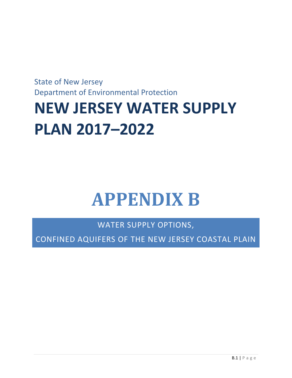State of New Jersey Department of Environmental Protection

# **NEW JERSEY WATER SUPPLY PLAN 2017–2022**

# **APPENDIX B**

WATER SUPPLY OPTIONS,

CONFINED AQUIFERS OF THE NEW JERSEY COASTAL PLAIN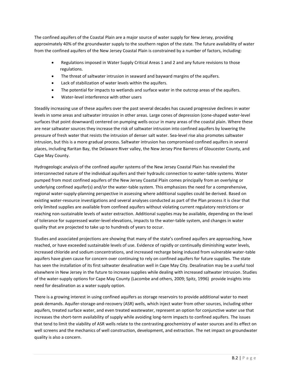The confined aquifers of the Coastal Plain are a major source of water supply for New Jersey, providing approximately 40% of the groundwater supply to the southern region of the state. The future availability of water from the confined aquifers of the New Jersey Coastal Plain is constrained by a number of factors, including:

- Regulations imposed in Water Supply Critical Areas 1 and 2 and any future revisions to those regulations.
- The threat of saltwater intrusion in seaward and bayward margins of the aquifers.
- Lack of stabilization of water levels within the aquifers.
- The potential for impacts to wetlands and surface water in the outcrop areas of the aquifers.
- Water-level interference with other users

Steadily increasing use of these aquifers over the past several decades has caused progressive declines in water levels in some areas and saltwater intrusion in other areas. Large cones of depression (cone-shaped water-level surfaces that point downward) centered on pumping wells occur in many areas of the coastal plain. Where these are near saltwater sources they increase the risk of saltwater intrusion into confined aquifers by lowering the pressure of fresh water that resists the intrusion of denser salt water. Sea-level rise also promotes saltwater intrusion, but this is a more gradual process. Saltwater intrusion has compromised confined aquifers in several places, including Raritan Bay, the Delaware River valley, the New Jersey Pine Barrens of Gloucester County, and Cape May County.

Hydrogeologic analysis of the confined aquifer systems of the New Jersey Coastal Plain has revealed the interconnected nature of the individual aquifers and their hydraulic connection to water-table systems. Water pumped from most confined aquifers of the New Jersey Coastal Plain comes principally from an overlying or underlying confined aquifer(s) and/or the water-table system. This emphasizes the need for a comprehensive, regional water-supply-planning perspective in assessing where additional supplies could be derived. Based on existing water-resource investigations and several analyses conducted as part of the Plan process it is clear that only limited supplies are available from confined aquifers without violating current regulatory restrictions or reaching non-sustainable levels of water extraction. Additional supplies may be available, depending on the level of tolerance for suppressed water-level elevations, impacts to the water-table system, and changes in water quality that are projected to take up to hundreds of years to occur.

Studies and associated projections are showing that many of the state's confined aquifers are approaching, have reached, or have exceeded sustainable levels of use. Evidence of rapidly or continually diminishing water levels, increased chloride and sodium concentrations, and increased recharge being induced from vulnerable water-table aquifers have given cause for concern over continuing to rely on confined aquifers for future supplies. The state has seen the installation of its first saltwater desalination well in Cape May City. Desalination may be a useful tool elsewhere in New Jersey in the future to increase supplies while dealing with increased saltwater intrusion. Studies of the water-supply options for Cape May County (Lacombe and others, 2009; Spitz, 1996) provide insights into need for desalination as a water supply option.

There is a growing interest in using confined aquifers as storage reservoirs to provide additional water to meet peak demands. Aquifer-storage-and-recovery (ASR) wells, which inject water from other sources, including other aquifers, treated surface water, and even treated wastewater, represent an option for conjunctive water use that increases the short-term availability of supply while avoiding long-term impacts to confined aquifers. The issues that tend to limit the viability of ASR wells relate to the contrasting geochemistry of water sources and its effect on well screens and the mechanics of well construction, development, and extraction. The net impact on groundwater quality is also a concern.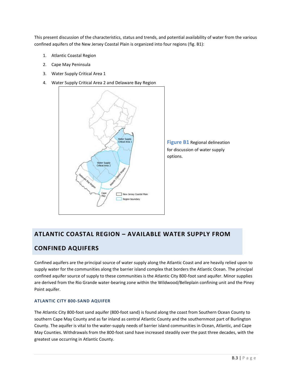This present discussion of the characteristics, status and trends, and potential availability of water from the various confined aquifers of the New Jersey Coastal Plain is organized into four regions (fig. B1):

- 1. Atlantic Coastal Region
- 2. Cape May Peninsula
- 3. Water Supply Critical Area 1
- 4. Water Supply Critical Area 2 and Delaware Bay Region



## **ATLANTIC COASTAL REGION – AVAILABLE WATER SUPPLY FROM**

## **CONFINED AQUIFERS**

Confined aquifers are the principal source of water supply along the Atlantic Coast and are heavily relied upon to supply water for the communities along the barrier island complex that borders the Atlantic Ocean. The principal confined aquifer source of supply to these communities is the Atlantic City 800-foot sand aquifer. Minor supplies are derived from the Rio Grande water-bearing zone within the Wildwood/Belleplain confining unit and the Piney Point aquifer.

## **ATLANTIC CITY 800-SAND AQUIFER**

The Atlantic City 800-foot sand aquifer (800-foot sand) is found along the coast from Southern Ocean County to southern Cape May County and as far inland as central Atlantic County and the southernmost part of Burlington County. The aquifer is vital to the water-supply needs of barrier island communities in Ocean, Atlantic, and Cape May Counties. Withdrawals from the 800-foot sand have increased steadily over the past three decades, with the greatest use occurring in Atlantic County.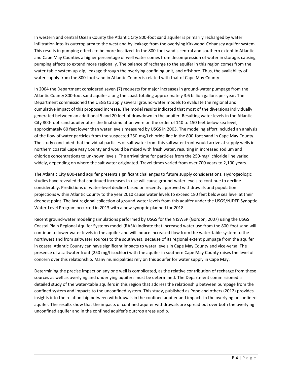In western and central Ocean County the Atlantic City 800-foot sand aquifer is primarily recharged by water infiltration into its outcrop area to the west and by leakage from the overlying Kirkwood-Cohansey aquifer system. This results in pumping effects to be more localized. In the 800-foot sand's central and southern extent in Atlantic and Cape May Counties a higher percentage of well water comes from decompression of water in storage, causing pumping effects to extend more regionally. The balance of recharge to the aquifer in this region comes from the water-table system up-dip, leakage through the overlying confining unit, and offshore. Thus, the availability of water supply from the 800-foot sand in Atlantic County is related with that of Cape May County.

In 2004 the Department considered seven (7) requests for major increases in ground-water pumpage from the Atlantic County 800-foot sand aquifer along the coast totaling approximately 3.6 billion gallons per year. The Department commissioned the USGS to apply several ground-water models to evaluate the regional and cumulative impact of this proposed increase. The model results indicated that most of the diversions individually generated between an additional 5 and 20 feet of drawdown in the aquifer. Resulting water levels in the Atlantic City 800-foot sand aquifer after the final simulation were on the order of 140 to 150 feet below sea level, approximately 60 feet lower than water levels measured by USGS in 2003. The modeling effort included an analysis of the flow of water particles from the suspected 250-mg/l chloride line in the 800-foot sand in Cape May County. The study concluded that individual particles of salt water from this saltwater front would arrive at supply wells in northern coastal Cape May County and would be mixed with fresh water, resulting in increased sodium and chloride concentrations to unknown levels. The arrival time for particles from the 250-mg/l chloride line varied widely, depending on where the salt water originated. Travel times varied from over 700 years to 2,100 years.

The Atlantic City 800-sand aquifer presents significant challenges to future supply considerations. Hydrogeologic studies have revealed that continued increases in use will cause ground-water levels to continue to decline considerably. Predictions of water-level decline based on recently approved withdrawals and population projections within Atlantic County to the year 2010 cause water levels to exceed 180 feet below sea level at their deepest point. The last regional collection of ground-water levels from this aquifer under the USGS/NJDEP Synoptic Water-Level Program occurred in 2013 with a new synoptic planned for 2018

Recent ground-water modeling simulations performed by USGS for the NJSWSP (Gordon, 2007) using the USGS Coastal Plain Regional Aquifer Systems model (RASA) indicate that increased water use from the 800-foot sand will continue to lower water levels in the aquifer and will induce increased flow from the water-table system to the northwest and from saltwater sources to the southwest. Because of its regional extent pumpage from the aquifer in coastal Atlantic County can have significant impacts to water levels in Cape May County and vice-versa. The presence of a saltwater front (250 mg/l isochlor) with the aquifer in southern Cape May County raises the level of concern over this relationship. Many municipalities rely on this aquifer for water supply in Cape May.

Determining the precise impact on any one well is complicated, as the relative contribution of recharge from these sources as well as overlying and underlying aquifers must be determined. The Department commissioned a detailed study of the water-table aquifers in this region that address the relationship between pumpage from the confined system and impacts to the unconfined system. This study, published as Pope and others (2012) provides insights into the relationship between withdrawals in the confined aquifer and impacts in the overlying unconfined aquifer. The results show that the impacts of confined aquifer withdrawals are spread out over both the overlying unconfined aquifer and in the confined aquifer's outcrop areas updip.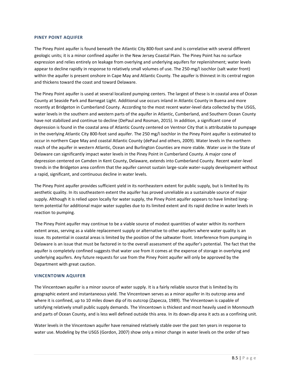#### **PINEY POINT AQUIFER**

The Piney Point aquifer is found beneath the Atlantic City 800-foot sand and is correlative with several different geologic units; it is a minor confined aquifer in the New Jersey Coastal Plain. The Piney Point has no surface expression and relies entirely on leakage from overlying and underlying aquifers for replenishment; water levels appear to decline rapidly in response to relatively small volumes of use. The 250-mg/l isochlor (salt water front) within the aquifer is present onshore in Cape May and Atlantic County. The aquifer is thinnest in its central region and thickens toward the coast and toward Delaware.

The Piney Point aquifer is used at several localized pumping centers. The largest of these is in coastal area of Ocean County at Seaside Park and Barnegat Light. Additional use occurs inland in Atlantic County in Buena and more recently at Bridgeton in Cumberland County. According to the most recent water-level data collected by the USGS, water levels in the southern and western parts of the aquifer in Atlantic, Cumberland, and Southern Ocean County have not stabilized and continue to decline (DePaul and Rosman, 2015). In addition, a significant cone of depression is found in the coastal area of Atlantic County centered on Ventnor City that is attributable to pumpage in the overlying Atlantic City 800-foot sand aquifer. The 250 mg/l isochlor in the Piney Point aquifer is estimated to occur in northern Cape May and coastal Atlantic County (dePaul and others, 2009). Water levels in the northern reach of the aquifer in western Atlantic, Ocean and Burlington Counties are more stable. Water use in the State of Delaware can significantly impact water levels in the Piney Point in Cumberland County. A major cone of depression centered on Camden in Kent County, Delaware, extends into Cumberland County. Recent water-level trends in the Bridgeton area confirm that the aquifer cannot sustain large-scale water-supply development without a rapid, significant, and continuous decline in water levels.

The Piney Point aquifer provides sufficient yield in its northeastern extent for public supply, but is limited by its aesthetic quality. In its southeastern extent the aquifer has proved unreliable as a sustainable source of major supply. Although it is relied upon locally for water supply, the Piney Point aquifer appears to have limited longterm potential for additional major water supplies due to its limited extent and its rapid decline in water levels in reaction to pumping.

The Piney Point aquifer may continue to be a viable source of modest quantities of water within its northern extent areas, serving as a viable replacement supply or alternative to other aquifers where water quality is an issue. Its potential in coastal areas is limited by the position of the saltwater front. Interference from pumping in Delaware is an issue that must be factored in to the overall assessment of the aquifer's potential. The fact that the aquifer is completely confined suggests that water use from it comes at the expense of storage in overlying and underlying aquifers. Any future requests for use from the Piney Point aquifer will only be approved by the Department with great caution.

## **VINCENTOWN AQUIFER**

The Vincentown aquifer is a minor source of water supply. It is a fairly reliable source that is limited by its geographic extent and instantaneous yield. The Vincentown serves as a minor aquifer in its outcrop area and where it is confined, up to 10 miles down dip of its outcrop (Zapecza, 1989). The Vincentown is capable of satisfying relatively small public supply demands. The Vincentown is thickest and most heavily used in Monmouth and parts of Ocean County, and is less well defined outside this area. In its down-dip area it acts as a confining unit.

Water levels in the Vincentown aquifer have remained relatively stable over the past ten years in response to water use. Modeling by the USGS (Gordon, 2007) show only a minor change in water levels on the order of two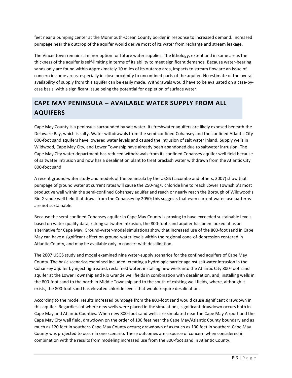feet near a pumping center at the Monmouth-Ocean County border in response to increased demand. Increased pumpage near the outcrop of the aquifer would derive most of its water from recharge and stream leakage.

The Vincentown remains a minor option for future water supplies. The lithology, extent and in some areas the thickness of the aquifer is self-limiting in terms of its ability to meet significant demands. Because water-bearing sands only are found within approximately 10 miles of its outcrop area, impacts to stream flow are an issue of concern in some areas, especially in close proximity to unconfined parts of the aquifer. No estimate of the overall availability of supply from this aquifer can be easily made. Withdrawals would have to be evaluated on a case-bycase basis, with a significant issue being the potential for depletion of surface water.

# **CAPE MAY PENINSULA – AVAILABLE WATER SUPPLY FROM ALL AQUIFERS**

Cape May County is a peninsula surrounded by salt water. Its freshwater aquifers are likely exposed beneath the Delaware Bay, which is salty. Water withdrawals from the semi-confined Cohansey and the confined Atlantic City 800-foot sand aquifers have lowered water levels and caused the intrusion of salt water inland. Supply wells in Wildwood, Cape May City, and Lower Township have already been abandoned due to saltwater intrusion. The Cape May City water department has reduced withdrawals from its confined Cohansey aquifer well field because of saltwater intrusion and now has a desalination plant to treat brackish water withdrawn from the Atlantic City 800-foot sand.

A recent ground-water study and models of the peninsula by the USGS (Lacombe and others, 2007) show that pumpage of ground water at current rates will cause the 250-mg/L chloride line to reach Lower Township's most productive well within the semi-confined Cohansey aquifer and reach or nearly reach the Borough of Wildwood's Rio Grande well field that draws from the Cohansey by 2050; this suggests that even current water-use patterns are not sustainable.

Because the semi-confined Cohansey aquifer in Cape May County is proving to have exceeded sustainable levels based on water quality data, risking saltwater intrusion, the 800-foot sand aquifer has been looked at as an alternative for Cape May. Ground-water-model simulations show that increased use of the 800-foot sand in Cape May can have a significant effect on ground-water levels within the regional cone-of-depression centered in Atlantic County, and may be available only in concert with desalination.

The 2007 USGS study and model examined nine water-supply scenarios for the confined aquifers of Cape May County. The basic scenarios examined included: creating a hydrologic barrier against saltwater intrusion in the Cohansey aquifer by injecting treated, reclaimed water; installing new wells into the Atlantic City 800-foot sand aquifer at the Lower Township and Rio Grande well fields in combination with desalination, and; installing wells in the 800-foot sand to the north in Middle Township and to the south of existing well fields, where, although it exists, the 800-foot sand has elevated chloride levels that would require desalination.

According to the model results increased pumpage from the 800-foot sand would cause significant drawdown in this aquifer. Regardless of where new wells were placed in the simulations, significant drawdown occurs both in Cape May and Atlantic Counties. When new 800-foot sand wells are simulated near the Cape May Airport and the Cape May City well field, drawdown on the order of 100 feet near the Cape May/Atlantic County boundary and as much as 120 feet in southern Cape May County occurs; drawdown of as much as 130 feet in southern Cape May County was projected to occur in one scenario. These outcomes are a source of concern when considered in combination with the results from modeling increased use from the 800-foot sand in Atlantic County.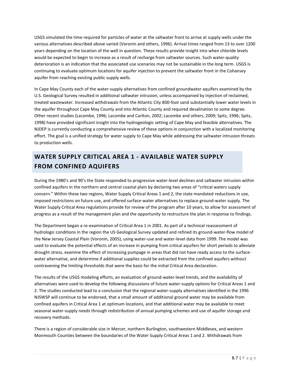USGS simulated the time required for particles of water at the saltwater front to arrive at supply wells under the various alternatives described above varied (Voronin and others, 1996). Arrival times ranged from 13 to over 1200 years depending on the location of the well in question. These results provide insight into when chloride levels would be expected to begin to increase as a result of recharge from saltwater sources. Such water-quality deterioration is an indication that the associated use scenarios may not be sustainable in the long term. USGS is continuing to evaluate optimum locations for aquifer injection to prevent the saltwater front in the Cohansey aquifer from reaching existing public supply wells.

In Cape May County each of the water-supply alternatives from confined groundwater aquifers examined by the U.S. Geological Survey resulted in additional saltwater intrusion, unless accompanied by injection of reclaimed, treated wastewater. Increased withdrawals from the Atlantic City 800-foot sand substantially lower water levels in the aquifer throughout Cape May County and into Atlantic County and required desalination to some degree. Other recent studies (Lacombe, 1996; Lacombe and Carlton, 2002; Lacombe and others, 2009; Spitz, 1996; Spitz, 1998) have provided significant insight into the hydrogeologic setting of Cape May and feasible alternatives. The NJDEP is currently conducting a comprehensive review of these options in conjunction with a localized monitoring effort. The goal is a unified strategy for water supply to Cape May while addressing the saltwater intrusion threats to production wells.

## **WATER SUPPLY CRITICAL AREA 1 - AVAILABLE WATER SUPPLY FROM CONFINED AQUIFERS**

During the 1980's and 90's the State responded to progressive water-level declines and saltwater intrusion within confined aquifers in the northern and central coastal plain by declaring two areas of "critical waters supply concern." Within these two regions, Water Supply Critical Areas 1 and 2, the state mandated reductions in use, imposed restrictions on future use, and offered surface-water alternatives to replace ground-water supply. The Water Supply Critical Area regulations provide for review of the program after 10 years, to allow for assessment of progress as a result of the management plan and the opportunity to restructure the plan in response to findings.

The Department began a re-examination of Critical Area 1 in 2001. As part of a technical reassessment of hydrologic conditions in the region the US Geological Survey updated and refined its ground-water-flow model of the New Jersey Coastal Plain (Voronin, 2005), using water-use and water-level data from 1999. The model was used to evaluate the potential effects of an increase in pumping from critical aquifers for short periods to alleviate drought stress, examine the effect of increasing pumpage in areas that did not have ready access to the surfacewater alternative, and determine if additional supplies could be extracted from the confined aquifers without contravening the limiting thresholds that were the basis for the initial Critical Area declaration.

The results of the USGS modeling efforts, an evaluation of ground-water-level trends, and the availability of alternatives were used to develop the following discussions of future water-supply options for Critical Areas 1 and 2. The studies conducted lead to a conclusion that the regional water-supply alternatives identified in the 1996 NJSWSP will continue to be endorsed, that a small amount of additional ground water may be available from confined aquifers in Critical Area 1 at optimum locations, and that additional water may be available to meet seasonal water-supply needs through redistribution of annual pumping schemes and use of aquifer storage and recovery methods.

There is a region of considerable size in Mercer, northern Burlington, southwestern Middlesex, and western Monmouth Counties between the boundaries of the Water Supply Critical Areas 1 and 2. Withdrawals from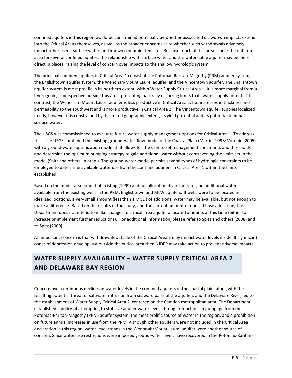confined aquifers in this region would be constrained principally by whether associated drawdown impacts extend into the Critical Areas themselves, as well as the broader concerns as to whether such withdrawals adversely impact other users, surface water, and known contaminated sites. Because much of this area is near the outcrop area for several confined aquifers the relationship with surface water and the water-table aquifer may be more direct in places, raising the level of concern over impacts to the shallow hydrologic system.

The principal confined aquifers in Critical Area 1 consist of the Potomac-Raritan-Magothy (PRM) aquifer system, the Englishtown aquifer system, the Wenonah-Mount Laurel aquifer, and the Vincentown aquifer. The Englishtown aquifer system is most prolific in its northern extent, within Water Supply Critical Area 1. It is more marginal from a hydrogeologic perspective outside this area, presenting naturally occurring limits to its water-supply potential. In contrast, the Wenonah -Mount Laurel aquifer is less productive in Critical Area 1, but increases in thickness and permeability to the southwest and is more productive in Critical Area 2. The Vincentown aquifer supplies localized needs, however it is constrained by its limited geographic extent, its yield potential and its potential to impact surface water.

The USGS was commissioned to evaluate future water-supply-management options for Critical Area 1. To address this issue USGS combined the existing ground-water-flow model of the Coastal Plain (Martin, 1998; Voronin, 2005) with a ground-water-optimization model that allows for the user to set management constraints and thresholds and determine the optimum pumping strategy to gain additional water without contravening the limits set in the model (Spitz and others, in prep.). The ground-water model permits several types of hydrologic constraints to be employed to determine available water use from the confined aquifers in Critical Area 1 within the limits established.

Based on the model assessment of existing (1999) and full allocation diversion rates, no additional water is available from the existing wells in the PRM, Englishtown and MLW aquifers. If wells were to be located in idealized locations, a very small amount (less than 1 MGD) of additional water may be available, but not enough to make a difference. Based on the results of the study, and the current amount of unused base allocation, the Department does not intend to make changes to critical area aquifer allocated amounts at this time (either to increase or implement further reductions). For additional information, please refer to Spitz and others (2008) and to Spitz (2009**).**

An important concern is that withdrawals outside of the Critical Area 1 may impact water levels inside. If significant cones of depression develop just outside the critical area then NJDEP may take action to prevent adverse impacts.

## **WATER SUPPLY AVAILABILITY – WATER SUPPLY CRITICAL AREA 2 AND DELAWARE BAY REGION**

Concern over continuous declines in water levels in the confined aquifers of the coastal plain, along with the resulting potential threat of saltwater intrusion from seaward parts of the aquifers and the Delaware River, led to the establishment of Water Supply Critical Area 2, centered on the Camden metropolitan area. The Department established a policy of attempting to stabilize aquifer water levels through reductions in pumpage from the Potomac-Raritan-Magothy (PRM) aquifer system, the most prolific source of water in the region, and a prohibition on future annual increases in use from the PRM. Although other aquifers were not included in the Critical Area declaration in this region, water-level trends in the Wenonah/Mount Laurel aquifer were another source of concern. Since water-use restrictions were imposed ground-water levels have recovered in the Potomac-Raritan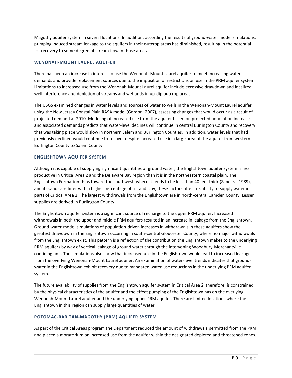Magothy aquifer system in several locations. In addition, according the results of ground-water model simulations, pumping induced stream leakage to the aquifers in their outcrop areas has diminished, resulting in the potential for recovery to some degree of stream flow in those areas.

#### **WENONAH-MOUNT LAUREL AQUIFER**

There has been an increase in interest to use the Wenonah-Mount Laurel aquifer to meet increasing water demands and provide replacement sources due to the imposition of restrictions on use in the PRM aquifer system. Limitations to increased use from the Wenonah-Mount Laurel aquifer include excessive drawdown and localized well interference and depletion of streams and wetlands in up-dip outcrop areas.

The USGS examined changes in water levels and sources of water to wells in the Wenonah-Mount Laurel aquifer using the New Jersey Coastal Plain RASA model (Gordon, 2007), assessing changes that would occur as a result of projected demand at 2010. Modeling of increased use from the aquifer based on projected population increases and associated demands predicts that water-level declines will continue in central Burlington County and recovery that was taking place would slow in northern Salem and Burlington Counties. In addition, water levels that had previously declined would continue to recover despite increased use in a large area of the aquifer from western Burlington County to Salem County.

## **ENGLISHTOWN AQUIFER SYSTEM**

Although it is capable of supplying significant quantities of ground water, the Englishtown aquifer system is less productive in Critical Area 2 and the Delaware Bay region than it is in the northeastern coastal plain. The Englishtown Formation thins toward the southwest, where it tends to be less than 40 feet thick (Zapecza, 1989), and its sands are finer with a higher percentage of silt and clay; these factors affect its ability to supply water in parts of Critical Area 2. The largest withdrawals from the Englishtown are in north-central Camden County. Lesser supplies are derived in Burlington County.

The Englishtown aquifer system is a significant source of recharge to the upper PRM aquifer. Increased withdrawals in both the upper and middle PRM aquifers resulted in an increase in leakage from the Englishtown. Ground-water-model simulations of population-driven increases in withdrawals in these aquifers show the greatest drawdown in the Englishtown occurring in south-central Gloucester County, where no major withdrawals from the Englishtown exist. This pattern is a reflection of the contribution the Englishtown makes to the underlying PRM aquifers by way of vertical leakage of ground water through the intervening Woodbury-Merchantville confining unit. The simulations also show that increased use in the Englishtown would lead to increased leakage from the overlying Wenonah-Mount Laurel aquifer. An examination of water-level trends indicates that groundwater in the Englishtown exhibit recovery due to mandated water-use reductions in the underlying PRM aquifer system.

The future availability of supplies from the Englishtown aquifer system in Critical Area 2, therefore, is constrained by the physical characteristics of the aquifer and the effect pumping of the Englishtown has on the overlying Wenonah-Mount Laurel aquifer and the underlying upper PRM aquifer. There are limited locations where the Englishtown in this region can supply large quantities of water.

## **POTOMAC-RARITAN-MAGOTHY (PRM) AQUIFER SYSTEM**

As part of the Critical Areas program the Department reduced the amount of withdrawals permitted from the PRM and placed a moratorium on increased use from the aquifer within the designated depleted and threatened zones.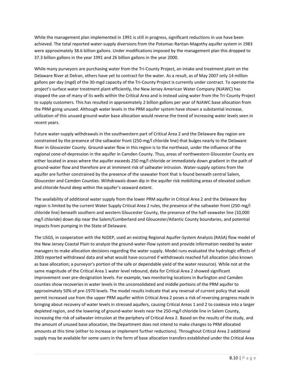While the management plan implemented in 1991 is still in progress, significant reductions in use have been achieved. The total reported water-supply diversions from the Potomac-Raritan-Magothy aquifer system in 1983 were approximately 38.6 billion gallons. Under modifications imposed by the management plan this dropped to 37.3 billion gallons in the year 1991 and 26 billion gallons in the year 2000.

While many purveyors are purchasing water from the Tri-County Project, an intake and treatment plant on the Delaware River at Delran, others have yet to contract for the water. As a result, as of May 2007 only 14 million gallons per day (mgd) of the 30-mgd capacity of the Tri-County Project is currently under contract. To operate the project's surface water treatment plant efficiently, the New Jersey American Water Company (NJAWC) has stopped the use of many of its wells within the Critical Area and is instead using water from the Tri-County Project to supply customers. This has resulted in approximately 2 billion gallons per year of NJAWC base allocation from the PRM going unused. Although water levels in the PRM aquifer system have shown a substantial increase, utilization of this unused ground-water base allocation would reverse the trend of increasing water levels seen in recent years.

Future water-supply withdrawals in the southwestern part of Critical Area 2 and the Delaware Bay region are constrained by the presence of the saltwater front (250-mg/l chloride line) that bulges nearly to the Delaware River in Gloucester County. Ground-water flow in this region is to the northeast, under the influence of the regional cone-of-depression in the aquifer in Camden County. Thus, areas of northwestern Gloucester County are either located in areas where the aquifer exceeds 250 mg/l chloride or immediately down gradient in the path of ground-water flow and therefore are at imminent risk of saltwater intrusion. Water-supply options from the aquifer are further constrained by the presence of the seawater front that is found beneath central Salem, Gloucester and Camden Counties. Withdrawals down dip in the aquifer risk mobilizing areas of elevated sodium and chloride found deep within the aquifer's seaward extent.

The availability of additional water supply from the lower PRM aquifer in Critical Area 2 and the Delaware Bay region is limited by the current Water Supply Critical Area 2 rules, the presence of the saltwater front (250-mg/l chloride line) beneath southern and western Gloucester County, the presence of the half-seawater line (10,000 mg/l chloride) down dip near the Salem/Cumberland and Gloucester/Atlantic County boundaries, and potential impacts from pumping in the State of Delaware.

The USGS, in cooperation with the NJDEP, used an existing Regional Aquifer-System Analysis (RASA) flow model of the New Jersey Coastal Plain to analyze the ground-water-flow system and provide information needed by water managers to make allocation decisions regarding the water supply. Model runs evaluated the hydrologic effects of 2003 reported withdrawal data and what would have occurred if withdrawals reached full allocation (also known as base allocation; a purveyor's portion of the safe or dependable yield of the water resource). While not at the same magnitude of the Critical Area 1 water level rebound, data for Critical Area 2 showed significant improvement over pre-designation levels. For example, two monitoring locations in Burlington and Camden counties show recoveries in water levels in the unconsolidated and middle portions of the PRM aquifer to approximately 50% of pre-1970 levels. The model results indicate that any reversal of current policy that would permit increased use from the upper PRM aquifer within Critical Area 2 poses a risk of reversing progress made in bringing about recovery of water levels in stressed aquifers, causing Critical Areas 1 and 2 to coalesce into a larger depleted region, and the lowering of ground-water levels near the 250-mg/l chloride line in Salem County, increasing the risk of saltwater intrusion at the periphery of Critical Area 2. Based on the results of the study, and the amount of unused base allocation, the Department does not intend to make changes to PRM allocated amounts at this time (either to increase or implement further reductions). Throughout Critical Area 2 additional supply may be available for some users in the form of base allocation transfers established under the Critical Area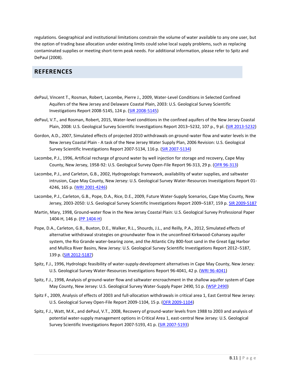regulations. Geographical and institutional limitations constrain the volume of water available to any one user, but the option of trading base allocation under existing limits could solve local supply problems, such as replacing contaminated supplies or meeting short-term peak needs. For additional information, please refer to Spitz and DePaul (2008).

## **REFERENCES**

- dePaul, Vincent T., Rosman, Robert, Lacombe, Pierre J., 2009, Water-Level Conditions in Selected Confined Aquifers of the New Jersey and Delaware Coastal Plain, 2003: U.S. Geological Survey Scientific Investigations Report 2008-5145, 124 p. [\(SIR 2008-5145\)](https://pubs.usgs.gov/sir/2008/5145/)
- dePaul, V.T., and Rosman, Robert, 2015, Water-level conditions in the confined aquifers of the New Jersey Coastal Plain, 2008: U.S. Geological Survey Scientific Investigations Report 2013–5232, 107 p., 9 pl. [\(SIR 2013-5232\)](https://pubs.usgs.gov/sir/2013/5232/)
- Gordon, A.D., 2007, Simulated effects of projected 2010 withdrawals on ground-water flow and water levels in the New Jersey Coastal Plain - A task of the New Jersey Water Supply Plan, 2006 Revision: U.S. Geological Survey Scientific Investigations Report 2007-5134, 116 p. [\(SIR 2007-5134\)](https://pubs.er.usgs.gov/usgspubs/sir/sir20075134)
- Lacombe, P.J., 1996, Artificial recharge of ground water by well injection for storage and recovery, Cape May County, New Jersey, 1958-92: U.S. Geological Survey Open-File Report 96-313, 29 p. [\(OFR 96-313\)](https://pubs.er.usgs.gov/usgspubs/ofr/ofr96313)
- Lacombe, P.J., and Carleton, G.B., 2002, Hydrogeologic framework, availability of water supplies, and saltwater intrusion, Cape May County, New Jersey: U.S. Geological Survey Water-Resources Investigations Report 01- 4246, 165 p. [\(WRI 2001-4246\)](https://pubs.usgs.gov/wri/wri014246/)
- Lacombe, P.J., Carleton, G.B., Pope, D.A., Rice, D.E., 2009, Future Water-Supply Scenarios, Cape May County, New Jersey, 2003-2050: U.S. Geological Survey Scientific Investigations Report 2009–5187, 159 p. [SIR 2009-5187](https://pubs.usgs.gov/sir/2009/5187/)
- Martin, Mary, 1998, Ground-water flow in the New Jersey Coastal Plain: U.S. Geological Survey Professional Paper 1404-H, 146 p. [\(PP 1404-H\)](https://pubs.er.usgs.gov/usgspubs/pp/pp1404H)
- Pope, D.A., Carleton, G.B., Buxton, D.E., Walker, R.L., Shourds, J.L., and Reilly, P.A., 2012, Simulated effects of alternative withdrawal strategies on groundwater flow in the unconfined Kirkwood-Cohansey aquifer system, the Rio Grande water-bearing zone, and the Atlantic City 800-foot sand in the Great Egg Harbor and Mullica River Basins, New Jersey: U.S. Geological Survey Scientific Investigations Report 2012–5187, 139 p. [\(SIR 2012-5187\)](https://pubs.usgs.gov/sir/2012/5187)
- Spitz, F.J., 1996, Hydrologic feasibility of water-supply-development alternatives in Cape May County, New Jersey: U.S. Geological Survey Water-Resources Investigations Report 96-4041, 42 p. [\(WRI 96-4041\)](https://pubs.er.usgs.gov/usgspubs/wri/wri964041)
- Spitz, F.J., 1998, Analysis of ground-water flow and saltwater encroachment in the shallow aquifer system of Cape May County, New Jersey: U.S. Geological Survey Water-Supply Paper 2490, 51 p. [\(WSP 2490\)](https://pubs.er.usgs.gov/usgspubs/wsp/wsp2490)
- Spitz F., 2009, Analysis of effects of 2003 and full-allocation withdrawals in critical area 1, East Central New Jersey: U.S. Geological Survey Open-File Report 2009-1104, 15 p. [\(OFR 2009-1104\)](https://pubs.er.usgs.gov/usgspubs/ofr/ofr20091104)
- Spitz, F.J., Watt, M.K., and dePaul, V.T., 2008, Recovery of ground-water levels from 1988 to 2003 and analysis of potential water-supply management options in Critical Area 1, east-central New Jersey: U.S. Geological Survey Scientific Investigations Report 2007-5193, 41 p. [\(SIR 2007-5193\)](https://pubs.er.usgs.gov/usgspubs/sir/sir20075193)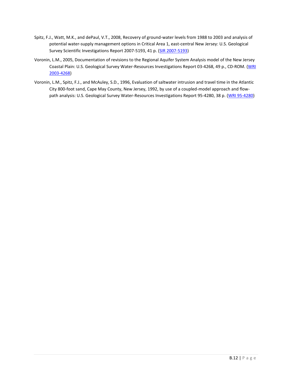- Spitz, F.J., Watt, M.K., and dePaul, V.T., 2008, Recovery of ground-water levels from 1988 to 2003 and analysis of potential water-supply management options in Critical Area 1, east-central New Jersey: U.S. Geological Survey Scientific Investigations Report 2007-5193, 41 p. [\(SIR 2007-5193\)](https://pubs.er.usgs.gov/usgspubs/sir/sir20075193)
- Voronin, L.M., 2005, Documentation of revisions to the Regional Aquifer System Analysis model of the New Jersey Coastal Plain: U.S. Geological Survey Water-Resources Investigations Report 03-4268, 49 p., CD-ROM. [\(WRI](https://pubs.usgs.gov/wri/wri03-4268/)  [2003-4268\)](https://pubs.usgs.gov/wri/wri03-4268/)
- Voronin, L.M., Spitz, F.J., and McAuley, S.D., 1996, Evaluation of saltwater intrusion and travel time in the Atlantic City 800-foot sand, Cape May County, New Jersey, 1992, by use of a coupled-model approach and flow-path analysis: U.S. Geological Survey Water-Resources Investigations Report 95-4280, 38 p. [\(WRI 95-4280\)](https://pubs.er.usgs.gov/usgspubs/wri/wri954280)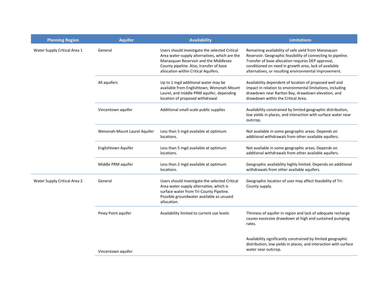| <b>Planning Region</b>       | <b>Aquifer</b>               | <b>Availability</b>                                                                                                                                                                                                         | <b>Limitations</b>                                                                                                                                                                                                                                                                          |
|------------------------------|------------------------------|-----------------------------------------------------------------------------------------------------------------------------------------------------------------------------------------------------------------------------|---------------------------------------------------------------------------------------------------------------------------------------------------------------------------------------------------------------------------------------------------------------------------------------------|
| Water Supply Critical Area 1 | General                      | Users should investigate the selected Critical<br>Area water-supply alternatives, which are the<br>Manasquan Reservoir and the Middlesex<br>County pipeline. Also, transfer of base<br>allocation within Critical Aquifers. | Remaining availability of safe yield from Manasquan<br>Reservoir. Geographic feasibility of connecting to pipeline.<br>Transfer of base allocation requires DEP approval,<br>conditioned on need in growth area, lack of available<br>alternatives, or resulting environmental improvement. |
|                              | All aquifers                 | Up to 1 mgd additional water may be<br>available from Englishtown, Wenonah-Mount<br>Laurel, and middle PRM aquifer, depending<br>location of proposed withdrawal                                                            | Availability dependent of location of proposed well and<br>impact in relation to environmental limitations, including<br>drawdown near Raritan Bay, drawdown elevation, and<br>drawdown within the Critical Area.                                                                           |
|                              | Vincentown aquifer           | Additional small-scale public supplies                                                                                                                                                                                      | Availability constrained by limited geographic distribution,<br>low yields in places, and interaction with surface water near<br>outcrop.                                                                                                                                                   |
|                              | Wenonah-Mount Laurel Aquifer | Less than 5 mgd available at optimum<br>locations.                                                                                                                                                                          | Not available in some geographic areas. Depends on<br>additional withdrawals from other available aquifers.                                                                                                                                                                                 |
|                              | Englishtown Aquifer          | Less than 5 mgd available at optimum<br>locations.                                                                                                                                                                          | Not available in some geographic areas. Depends on<br>additional withdrawals from other available aquifers.                                                                                                                                                                                 |
|                              | Middle PRM aquifer           | Less than 2 mgd available at optimum<br>locations.                                                                                                                                                                          | Geographic availability highly limited. Depends on additional<br>withdrawals from other available aquifers.                                                                                                                                                                                 |
| Water Supply Critical Area 2 | General                      | Users should investigate the selected Critical<br>Area water-supply alternative, which is<br>surface water from Tri-County Pipeline.<br>Possible groundwater available as unused<br>allocation.                             | Geographic location of user may affect feasibility of Tri-<br>County supply.                                                                                                                                                                                                                |
|                              | Piney Point aquifer          | Availability limited to current use levels                                                                                                                                                                                  | Thinness of aquifer in region and lack of adequate recharge<br>causes excessive drawdown at high and sustained pumping<br>rates.                                                                                                                                                            |
|                              | Vincentown aquifer           |                                                                                                                                                                                                                             | Availability significantly constrained by limited geographic<br>distribution, low yields in places, and interaction with surface<br>water near outcrop.                                                                                                                                     |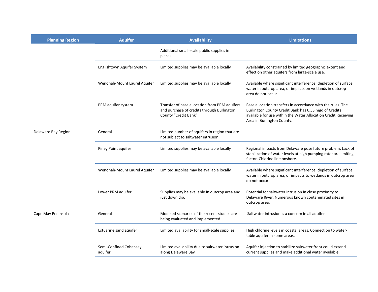| <b>Planning Region</b> | <b>Aquifer</b>                    | <b>Availability</b>                                                                                                  | <b>Limitations</b>                                                                                                                                                                                                   |
|------------------------|-----------------------------------|----------------------------------------------------------------------------------------------------------------------|----------------------------------------------------------------------------------------------------------------------------------------------------------------------------------------------------------------------|
|                        |                                   | Additional small-scale public supplies in<br>places.                                                                 |                                                                                                                                                                                                                      |
|                        | Englishtown Aquifer System        | Limited supplies may be available locally                                                                            | Availability constrained by limited geographic extent and<br>effect on other aquifers from large-scale use.                                                                                                          |
|                        | Wenonah-Mount Laurel Aquifer      | Limited supplies may be available locally                                                                            | Available where significant interference, depletion of surface<br>water in outcrop area, or impacts on wetlands in outcrop<br>area do not occur.                                                                     |
|                        | PRM aquifer system                | Transfer of base allocation from PRM aquifers<br>and purchase of credits through Burlington<br>County "Credit Bank". | Base allocation transfers in accordance with the rules. The<br>Burlington County Credit Bank has 6.53 mgd of Credits<br>available for use within the Water Allocation Credit Receiving<br>Area in Burlington County. |
| Delaware Bay Region    | General                           | Limited number of aquifers in region that are<br>not subject to saltwater intrusion                                  |                                                                                                                                                                                                                      |
|                        | Piney Point aquifer               | Limited supplies may be available locally                                                                            | Regional impacts from Delaware pose future problem. Lack of<br>stabilization of water levels at high pumping rater are limiting<br>factor. Chlorine line onshore.                                                    |
|                        | Wenonah-Mount Laurel Aquifer      | Limited supplies may be available locally                                                                            | Available where significant interference, depletion of surface<br>water in outcrop area, or impacts to wetlands in outcrop area<br>do not occur.                                                                     |
|                        | Lower PRM aquifer                 | Supplies may be available in outcrop area and<br>just down dip.                                                      | Potential for saltwater intrusion in close proximity to<br>Delaware River. Numerous known contaminated sites in<br>outcrop area.                                                                                     |
| Cape May Peninsula     | General                           | Modeled scenarios of the recent studies are<br>being evaluated and implemented.                                      | Saltwater intrusion is a concern in all aquifers.                                                                                                                                                                    |
|                        | Estuarine sand aquifer            | Limited availability for small-scale supplies                                                                        | High chlorine levels in coastal areas. Connection to water-<br>table aquifer in some areas.                                                                                                                          |
|                        | Semi-Confined Cohansey<br>aquifer | Limited availability due to saltwater intrusion<br>along Delaware Bay                                                | Aquifer injection to stabilize saltwater front could extend<br>current supplies and make additional water available.                                                                                                 |